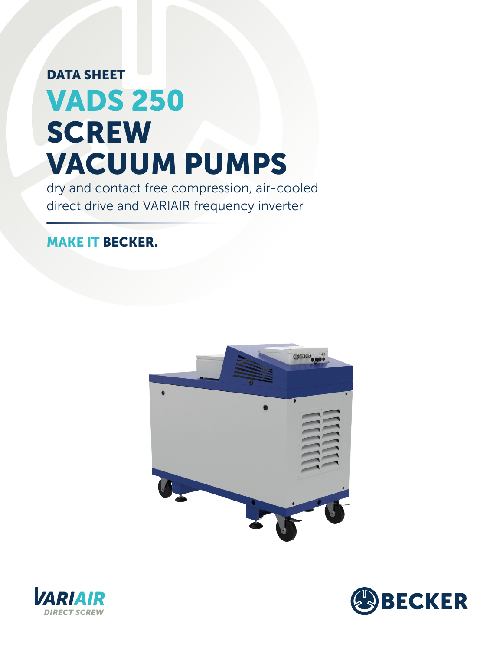# DATA SHEET VADS 250 **SCREW** VACUUM PUMPS

dry and contact free compression, air-cooled direct drive and VARIAIR frequency inverter

### MAKE IT BECKER.





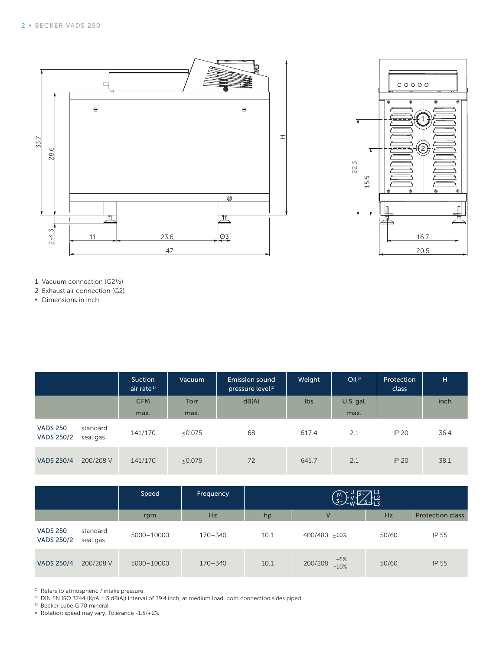



- 1 Vacuum connection (G2½)
- 2 Exhaust air connection (G2)
- **▪** Dimensions in inch

|                                      |                      | Suction<br>air rate <sup>1)</sup> | <b>Vacuum</b> | Emission sound<br>pressure level <sup>1)</sup> | Weight | Oil <sup>3</sup> | Protection<br>class | H    |
|--------------------------------------|----------------------|-----------------------------------|---------------|------------------------------------------------|--------|------------------|---------------------|------|
|                                      |                      | <b>CFM</b>                        | Torr          | dB(A)                                          | lbs    | U.S. gal.        |                     | inch |
|                                      |                      | max.                              | max.          |                                                |        | max.             |                     |      |
| <b>VADS 250</b><br><b>VADS 250/2</b> | standard<br>seal gas | 141/170                           | < 0.075       | 68                                             | 617.4  | 2.1              | IP 20               | 36.4 |
| <b>VADS 250/4</b>                    | 200/208 V            | 141/170                           | < 0.075       | 72                                             | 641.7  | 2.1              | <b>IP 20</b>        | 38.1 |

|                                      |                      | Speed      | Frequency   | $\frac{13}{3}$ $\frac{11}{13}$<br>$\begin{pmatrix} M \\ 3\gamma \end{pmatrix}$ |                            |       |                         |
|--------------------------------------|----------------------|------------|-------------|--------------------------------------------------------------------------------|----------------------------|-------|-------------------------|
|                                      |                      | rpm        | Hz          | hp                                                                             | $\vee$                     | Hz    | <b>Protection class</b> |
| <b>VADS 250</b><br><b>VADS 250/2</b> | standard<br>seal gas | 5000-10000 | $170 - 340$ | 10.1                                                                           | 400/480 +10%               | 50/60 | IP 55                   |
| <b>VADS 250/4</b>                    | 200/208 V            | 5000-10000 | $170 - 340$ | 10.1                                                                           | $+6%$<br>200/208<br>$-10%$ | 50/60 | <b>IP 55</b>            |

<sup>1)</sup> Refers to atmospheric / intake pressure<br><sup>2)</sup> DIN EN ISO 3744 (KpA – 3 dB(A)) interv

DIN EN ISO 3744 (KpA = 3 dB(A)) interval of 39.4 inch, at medium load, both connection sides piped

3) Becker Lube G 70 mineral

**▪** Rotation speed may vary. Tolerance -1.5/+2%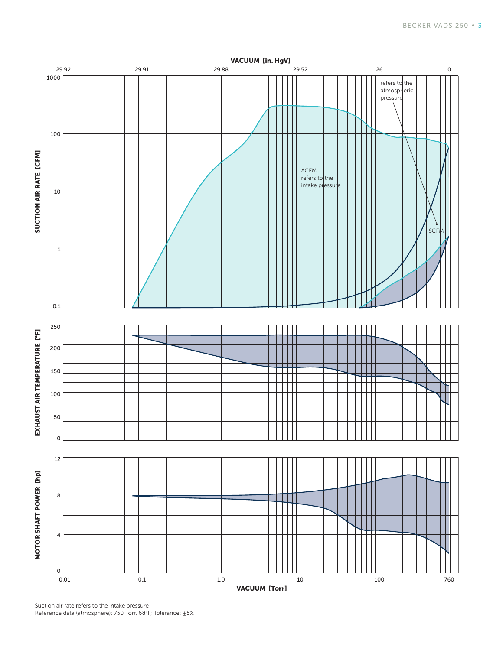

Suction air rate refers to the intake pressure Reference data (atmosphere): 750 Torr, 68°F; Tolerance: ±5%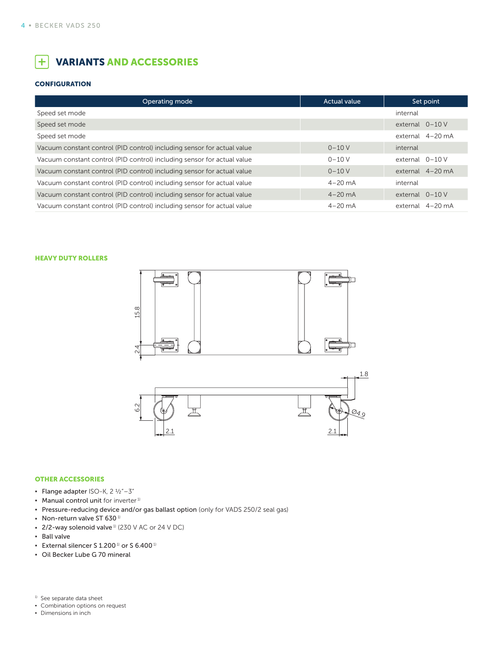#### $+$ VARIANTS AND ACCESSORIES

#### **CONFIGURATION**

| Operating mode                                                          | <b>Actual value</b> | Set point         |
|-------------------------------------------------------------------------|---------------------|-------------------|
| Speed set mode                                                          |                     | internal          |
| Speed set mode                                                          |                     | external $0-10$ V |
| Speed set mode                                                          |                     | external 4-20 mA  |
| Vacuum constant control (PID control) including sensor for actual value | $0 - 10V$           | internal          |
| Vacuum constant control (PID control) including sensor for actual value | $0 - 10V$           | external $0-10$ V |
| Vacuum constant control (PID control) including sensor for actual value | $0 - 10V$           | external 4-20 mA  |
| Vacuum constant control (PID control) including sensor for actual value | $4 - 20$ mA         | internal          |
| Vacuum constant control (PID control) including sensor for actual value | $4 - 20$ mA         | external $0-10$ V |
| Vacuum constant control (PID control) including sensor for actual value | $4 - 20$ mA         | external 4-20 mA  |

HEAVY DUTY ROLLERS





#### OTHER ACCESSORIES

- **▪** Flange adapter ISO-K, 2 ½"–3"
- **•** Manual control unit for inverter<sup>1)</sup>
- **▪** Pressure-reducing device and/or gas ballast option (only for VADS 250/2 seal gas)
- Non-return valve ST 630<sup>1)</sup>
- **▪** 2/2-way solenoid valve 1) (230 V AC or 24 V DC)
- **▪** Ball valve
- **▪** External silencer S 1.200 1) or S 6.400 1)
- **▪** Oil Becker Lube G 70 mineral

<sup>1)</sup> See separate data sheet

- **▪** Combination options on request
- **▪** Dimensions in inch